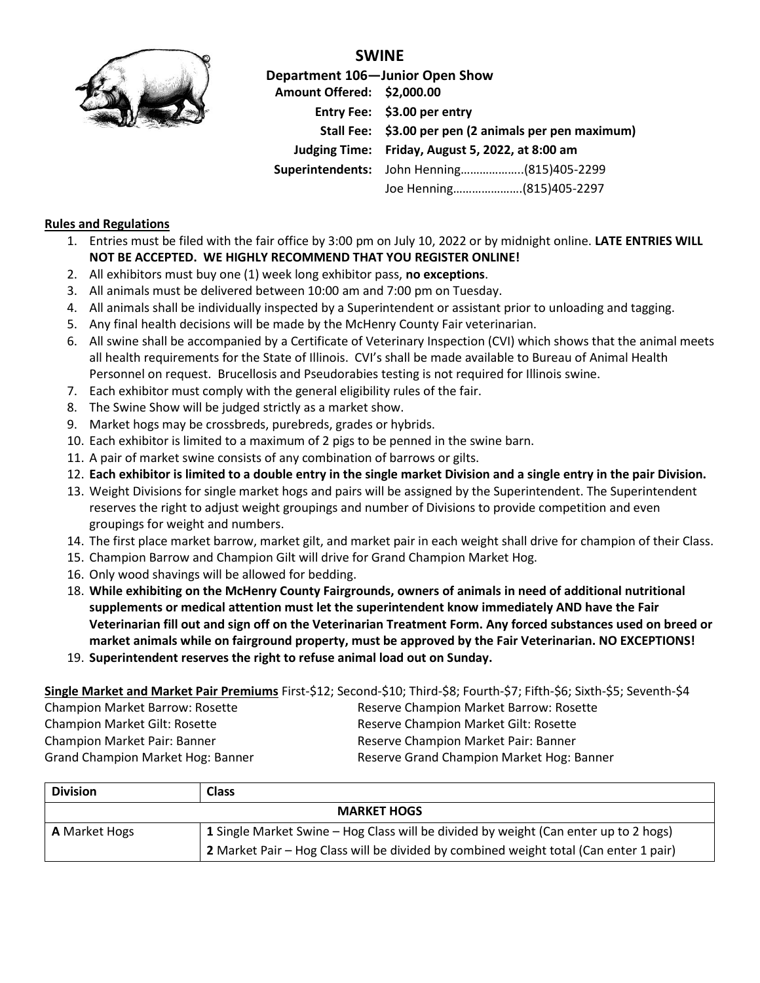

**SWINE Department 106—Junior Open Show Amount Offered: \$2,000.00 Entry Fee: \$3.00 per entry Stall Fee: \$3.00 per pen (2 animals per pen maximum) Judging Time: Friday, August 5, 2022, at 8:00 am Superintendents:** John Henning………………..(815)405-2299

Joe Henning………………….(815)405-2297

## **Rules and Regulations**

- 1. Entries must be filed with the fair office by 3:00 pm on July 10, 2022 or by midnight online. **LATE ENTRIES WILL NOT BE ACCEPTED. WE HIGHLY RECOMMEND THAT YOU REGISTER ONLINE!**
- 2. All exhibitors must buy one (1) week long exhibitor pass, **no exceptions**.
- 3. All animals must be delivered between 10:00 am and 7:00 pm on Tuesday.
- 4. All animals shall be individually inspected by a Superintendent or assistant prior to unloading and tagging.
- 5. Any final health decisions will be made by the McHenry County Fair veterinarian.
- 6. All swine shall be accompanied by a Certificate of Veterinary Inspection (CVI) which shows that the animal meets all health requirements for the State of Illinois. CVI's shall be made available to Bureau of Animal Health Personnel on request. Brucellosis and Pseudorabies testing is not required for Illinois swine.
- 7. Each exhibitor must comply with the general eligibility rules of the fair.
- 8. The Swine Show will be judged strictly as a market show.
- 9. Market hogs may be crossbreds, purebreds, grades or hybrids.
- 10. Each exhibitor is limited to a maximum of 2 pigs to be penned in the swine barn.
- 11. A pair of market swine consists of any combination of barrows or gilts.
- 12. **Each exhibitor is limited to a double entry in the single market Division and a single entry in the pair Division.**
- 13. Weight Divisions for single market hogs and pairs will be assigned by the Superintendent. The Superintendent reserves the right to adjust weight groupings and number of Divisions to provide competition and even groupings for weight and numbers.
- 14. The first place market barrow, market gilt, and market pair in each weight shall drive for champion of their Class.
- 15. Champion Barrow and Champion Gilt will drive for Grand Champion Market Hog.
- 16. Only wood shavings will be allowed for bedding.
- 18. **While exhibiting on the McHenry County Fairgrounds, owners of animals in need of additional nutritional supplements or medical attention must let the superintendent know immediately AND have the Fair Veterinarian fill out and sign off on the Veterinarian Treatment Form. Any forced substances used on breed or market animals while on fairground property, must be approved by the Fair Veterinarian. NO EXCEPTIONS!**
- 19. **Superintendent reserves the right to refuse animal load out on Sunday.**

## **Single Market and Market Pair Premiums** First-\$12; Second-\$10; Third-\$8; Fourth-\$7; Fifth-\$6; Sixth-\$5; Seventh-\$4

Champion Market Gilt: Rosette **Reserve Champion Market Gilt: Rosette** Reserve Champion Market Gilt: Rosette Champion Market Pair: Banner **Reserve Champion Market Pair: Banner** Reserve Champion Market Pair: Banner

Champion Market Barrow: Rosette **Reserve Champion Market Barrow: Rosette** Reserve Champion Market Barrow: Rosette Grand Champion Market Hog: Banner **Reserve Grand Champion Market Hog: Banner** Reserve Grand Champion Market Hog: Banner

| <b>Division</b>      | <b>Class</b>                                                                          |  |  |  |  |
|----------------------|---------------------------------------------------------------------------------------|--|--|--|--|
| <b>MARKET HOGS</b>   |                                                                                       |  |  |  |  |
| <b>A</b> Market Hogs | 1 Single Market Swine – Hog Class will be divided by weight (Can enter up to 2 hogs)  |  |  |  |  |
|                      | 2 Market Pair – Hog Class will be divided by combined weight total (Can enter 1 pair) |  |  |  |  |